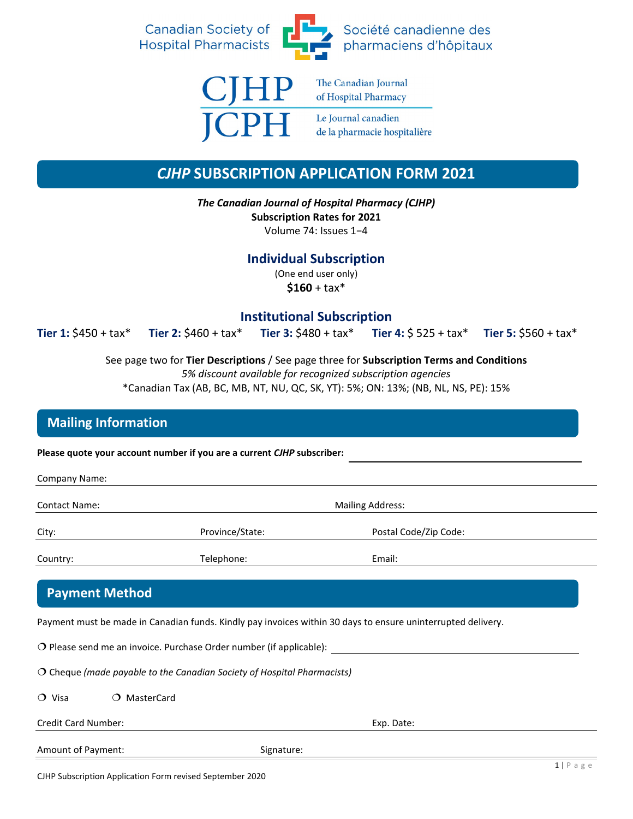



The Canadian Journal of Hospital Pharmacy

Le Journal canadien de la pharmacie hospitalière

# *CJHP* **SUBSCRIPTION APPLICATION FORM 2021**

*The Canadian Journal of Hospital Pharmacy (CJHP)* **Subscription Rates for 2021**  Volume 74: Issues 1−4

**Individual Subscription** (One end user only)  $$160 + tax*$ 

### **Institutional Subscription**

**Tier 1:** \$450 + tax\* **Tier 2:** \$460 + tax\* **Tier 3:** \$480 + tax\* **Tier 4:** \$ 525 + tax\* **Tier 5:** \$560 + tax\*

See page two for **Tier Descriptions** / See page three for **Subscription Terms and Conditions**

*5% discount available for recognized subscription agencies*

\*Canadian Tax (AB, BC, MB, NT, NU, QC, SK, YT): 5%; ON: 13%; (NB, NL, NS, PE): 15%

## **Mailing Information**

**Please quote your account number if you are a current** *CJHP* **subscriber:**

| Company Name:         |                                                                                  |                                                                                                              |  |  |
|-----------------------|----------------------------------------------------------------------------------|--------------------------------------------------------------------------------------------------------------|--|--|
| <b>Contact Name:</b>  |                                                                                  | <b>Mailing Address:</b>                                                                                      |  |  |
| City:                 | Province/State:                                                                  | Postal Code/Zip Code:                                                                                        |  |  |
| Country:              | Telephone:                                                                       | Email:                                                                                                       |  |  |
| <b>Payment Method</b> |                                                                                  |                                                                                                              |  |  |
|                       |                                                                                  | Payment must be made in Canadian funds. Kindly pay invoices within 30 days to ensure uninterrupted delivery. |  |  |
|                       | $\overline{O}$ Please send me an invoice. Purchase Order number (if applicable): |                                                                                                              |  |  |

 Cheque *(made payable to the Canadian Society of Hospital Pharmacists)* O Visa O MasterCard

Credit Card Number: Exp. Date: Amount of Payment: Signature: Signature: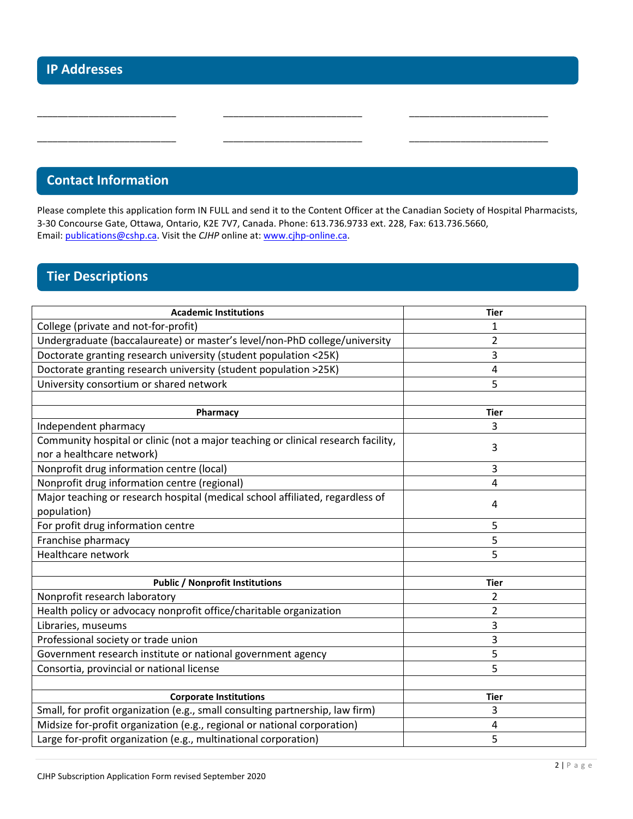## **Contact Information**

Please complete this application form IN FULL and send it to the Content Officer at the Canadian Society of Hospital Pharmacists, 3-30 Concourse Gate, Ottawa, Ontario, K2E 7V7, Canada. Phone: 613.736.9733 ext. 228, Fax: 613.736.5660, Email: [publications@cshp.ca.](mailto:publications@cshp.ca) Visit the *CJHP* online at: [www.cjhp-online.ca.](http://www.cjhp-online.ca/)

\_\_\_\_\_\_\_\_\_\_\_\_\_\_\_\_\_\_\_\_\_\_\_\_\_\_\_ \_\_\_\_\_\_\_\_\_\_\_\_\_\_\_\_\_\_\_\_\_\_\_\_\_\_\_ \_\_\_\_\_\_\_\_\_\_\_\_\_\_\_\_\_\_\_\_\_\_\_\_\_\_\_

\_\_\_\_\_\_\_\_\_\_\_\_\_\_\_\_\_\_\_\_\_\_\_\_\_\_\_ \_\_\_\_\_\_\_\_\_\_\_\_\_\_\_\_\_\_\_\_\_\_\_\_\_\_\_ \_\_\_\_\_\_\_\_\_\_\_\_\_\_\_\_\_\_\_\_\_\_\_\_\_\_\_

# **Tier Descriptions**

| <b>Academic Institutions</b>                                                      | <b>Tier</b>    |
|-----------------------------------------------------------------------------------|----------------|
| College (private and not-for-profit)                                              | 1              |
| Undergraduate (baccalaureate) or master's level/non-PhD college/university        | 2              |
| Doctorate granting research university (student population <25K)                  | 3              |
| Doctorate granting research university (student population >25K)                  | 4              |
| University consortium or shared network                                           | 5              |
|                                                                                   |                |
| Pharmacy                                                                          | <b>Tier</b>    |
| Independent pharmacy                                                              | 3              |
| Community hospital or clinic (not a major teaching or clinical research facility, | 3              |
| nor a healthcare network)                                                         |                |
| Nonprofit drug information centre (local)                                         | 3              |
| Nonprofit drug information centre (regional)                                      | 4              |
| Major teaching or research hospital (medical school affiliated, regardless of     | 4              |
| population)                                                                       |                |
| For profit drug information centre                                                | 5              |
| Franchise pharmacy                                                                | 5              |
| Healthcare network                                                                | 5              |
|                                                                                   |                |
| <b>Public / Nonprofit Institutions</b>                                            | <b>Tier</b>    |
| Nonprofit research laboratory                                                     | 2              |
| Health policy or advocacy nonprofit office/charitable organization                | $\overline{2}$ |
| Libraries, museums                                                                | 3              |
| Professional society or trade union                                               | 3              |
| Government research institute or national government agency                       | 5              |
| Consortia, provincial or national license                                         | 5              |
|                                                                                   |                |
| <b>Corporate Institutions</b>                                                     | <b>Tier</b>    |
| Small, for profit organization (e.g., small consulting partnership, law firm)     | 3              |
| Midsize for-profit organization (e.g., regional or national corporation)          | 4              |
| Large for-profit organization (e.g., multinational corporation)                   | 5              |